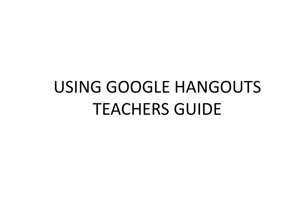## USING GOOGLE HANGOUTS TEACHERS GUIDE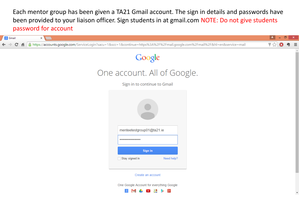Each mentor group has been given a TA21 Gmail account. The sign in details and passwords have been provided to your liaison officer. Sign students in at gmail.com NOTE: Do not give students password for account

| 8 Gmail                            | $\times$ \                                                                                                                    | σ<br>$\mathbf{x}$<br>∣≛ |  |  |  |
|------------------------------------|-------------------------------------------------------------------------------------------------------------------------------|-------------------------|--|--|--|
| G<br>$\Rightarrow$<br>$\leftarrow$ | A B https://accounts.google.com/ServiceLogin?sacu=1&scc=1&continue=https%3A%2F%2Fmail.google.com%2Fmail%2F&hl=en&service=mail | ₩ ☆<br>Ξ<br>O           |  |  |  |
|                                    | Google                                                                                                                        |                         |  |  |  |
| One account. All of Google.        |                                                                                                                               |                         |  |  |  |
|                                    | Sign in to continue to Gmail                                                                                                  |                         |  |  |  |
|                                    | menteetestgroup01@ta21.ie                                                                                                     |                         |  |  |  |
|                                    | <br>Sign in                                                                                                                   |                         |  |  |  |
|                                    | Stay signed in<br>Need help?                                                                                                  |                         |  |  |  |
|                                    | Create an account                                                                                                             |                         |  |  |  |

One Google Account for everything Google

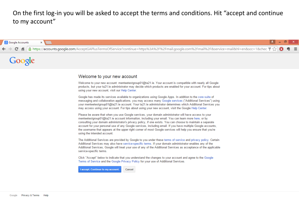On the first log-in you will be asked to accept the terms and conditions. Hit "accept and continue to my account"

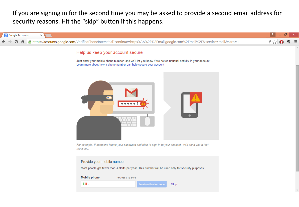If you are signing in for the second time you may be asked to provide a second email address for security reasons. Hit the "skip" button if this happens.

| 8 Google Accounts<br>$\times$                                                                                                                                                                                      |                |
|--------------------------------------------------------------------------------------------------------------------------------------------------------------------------------------------------------------------|----------------|
| B https://accounts.google.com/VerifiedPhoneInterstitial?continue=https%3A%2F%2Fmail.google.com%2Fmail%2F&service=mail&sarp=1<br>G<br>作                                                                             | 무 <sub>있</sub> |
| Help us keep your account secure<br>Just enter your mobile phone number, and we'll let you know if we notice unusual activity in your account.<br>Learn more about how a phone number can help secure your account |                |
|                                                                                                                                                                                                                    |                |
| For example, if someone learns your password and tries to sign in to your account, we'll send you a text<br>message.                                                                                               |                |
| Provide your mobile number                                                                                                                                                                                         |                |
| Most people get fewer than 3 alerts per year. This number will be used only for security purposes.                                                                                                                 |                |
| <b>Mobile phone</b><br>ex: 085 012 3456                                                                                                                                                                            |                |
| H.<br>Skip<br><b>Send verification code</b>                                                                                                                                                                        |                |
|                                                                                                                                                                                                                    |                |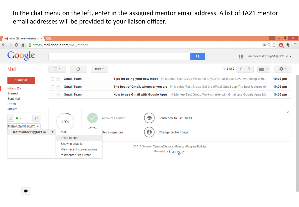In the chat menu on the left, enter in the assigned mentor email address. A list of TA21 mentor email addresses will be provided to your liaison officer.

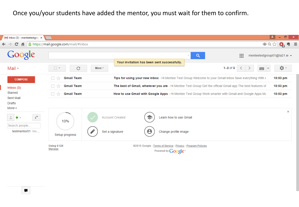Once you/your students have added the mentor, you must wait for them to confirm.



▬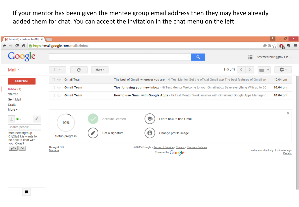If your mentor has been given the mentee group email address then they may have already added them for chat. You can accept the invitation in the chat menu on the left.



▬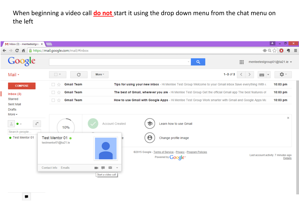When beginning a video call **do not** start it using the drop down menu from the chat menu on the left

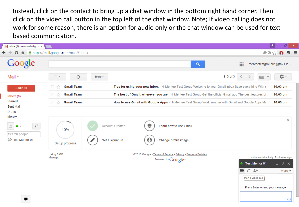Instead, click on the contact to bring up a chat window in the bottom right hand corner. Then click on the video call button in the top left of the chat window. Note; If video calling does not work for some reason, there is an option for audio only or the chat window can be used for text based communication.

|              | M Inbox (3) - menteetestgrou X                                                                    |                                         |                                                                                                                                                                                                            | -41<br>ō<br>$\mathsf{x}$                                                        |
|--------------|---------------------------------------------------------------------------------------------------|-----------------------------------------|------------------------------------------------------------------------------------------------------------------------------------------------------------------------------------------------------------|---------------------------------------------------------------------------------|
| $\leftarrow$ | $\mathbf{C}$                                                                                      | A B https://mail.google.com/mail/#inbox |                                                                                                                                                                                                            | $\equiv$<br>粤<br>$\bullet$                                                      |
|              | Google                                                                                            |                                         | 排<br>$\alpha$<br>$\overline{\nabla}$ .                                                                                                                                                                     | menteetestgroup01@ta21.ie ▼                                                     |
|              | Mail *                                                                                            | $\Box$ $^\star$<br>$\mathbf C$          | $1 - 3$ of $3$<br>More $+$<br>≦<br>$\blacksquare$                                                                                                                                                          | <b>Q-</b>                                                                       |
|              | <b>COMPOSE</b>                                                                                    | <b>Gmail Team</b><br>$\overline{\chi}$  | Tips for using your new inbox - Hi Mentee Test Group Welcome to your Gmail inbox Save everything With L                                                                                                    | 10:03 pm                                                                        |
|              | Inbox(3)                                                                                          | <b>Gmail Team</b><br>- ☆                | The best of Gmail, wherever you are - Hi Mentee Test Group Get the official Gmail app The best features of                                                                                                 | 10:03 pm                                                                        |
|              | Starred                                                                                           | <b>Gmail Team</b><br>□☆                 | How to use Gmail with Google Apps - Hi Mentee Test Group Work smarter with Gmail and Google Apps Ma                                                                                                        | 10:03 pm                                                                        |
|              | Sent Mail<br>Drafts<br>More $\star$<br>$\mathcal{C}$<br>Α<br>٠<br>Search people<br>Test Mentor 01 | 10%<br>Setup progress                   | Learn how to use Gmail<br>Account Created<br>$\boldsymbol{\Theta}$<br>$\mathcal{L}$<br>Set a signature<br>Change profile image                                                                             | $\times$                                                                        |
|              | ₽                                                                                                 | Using 0 GB<br>Manage                    | @2015 Google - Terms of Service - Privacy - Program Policies<br>Powered by <b>Google</b><br><b>Test Mentor 01</b><br>$C = 2+$<br>$\blacksquare$<br>Start a video call<br>Press Enter to send your message. | Last account activity: 7 minutes ago<br>_ ↗ ×<br>More $\blacktriangledown$<br>O |